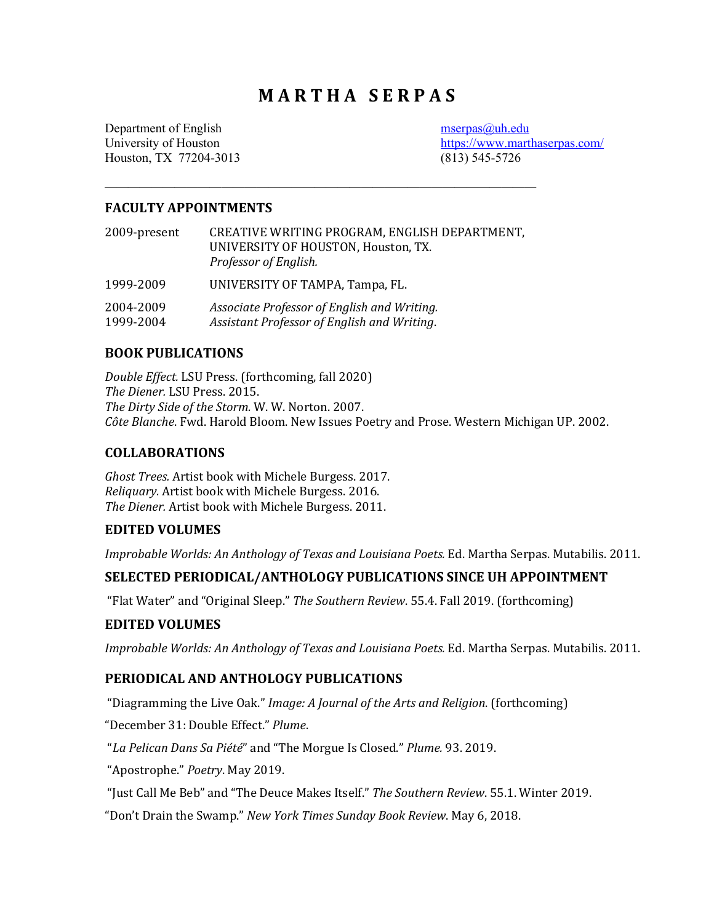# **M A R T H A S E R P A S**

Department of English [mserpas@uh.edu](mailto:mserpas@uh.edu) Houston, TX 77204-3013 (813) 545-5726

University of Houston <https://www.marthaserpas.com/>

### **FACULTY APPOINTMENTS**

| 2009-present           | CREATIVE WRITING PROGRAM, ENGLISH DEPARTMENT,<br>UNIVERSITY OF HOUSTON, Houston, TX.<br>Professor of English. |
|------------------------|---------------------------------------------------------------------------------------------------------------|
| 1999-2009              | UNIVERSITY OF TAMPA, Tampa, FL.                                                                               |
| 2004-2009<br>1999-2004 | Associate Professor of English and Writing.<br>Assistant Professor of English and Writing.                    |

 $\mathcal{L}=\{1,2,3,4\}$  , we can consider the constant of the constant  $\mathcal{L}=\{1,2,3,4\}$ 

### **BOOK PUBLICATIONS**

*Double Effect.* LSU Press. (forthcoming, fall 2020) *The Diener.* LSU Press. 2015. *The Dirty Side of the Storm.* W. W. Norton. 2007. *Côte Blanche*. Fwd. Harold Bloom. New Issues Poetry and Prose. Western Michigan UP. 2002.

#### **COLLABORATIONS**

*Ghost Trees.* Artist book with Michele Burgess. 2017. *Reliquary.* Artist book with Michele Burgess. 2016. *The Diener.* Artist book with Michele Burgess. 2011.

#### **EDITED VOLUMES**

*Improbable Worlds: An Anthology of Texas and Louisiana Poets.* Ed. Martha Serpas. Mutabilis. 2011.

## **SELECTED PERIODICAL/ANTHOLOGY PUBLICATIONS SINCE UH APPOINTMENT**

"Flat Water" and "Original Sleep." *The Southern Review*. 55.4. Fall 2019. (forthcoming)

#### **EDITED VOLUMES**

*Improbable Worlds: An Anthology of Texas and Louisiana Poets.* Ed. Martha Serpas. Mutabilis. 2011.

### **PERIODICAL AND ANTHOLOGY PUBLICATIONS**

"Diagramming the Live Oak." *Image: A Journal of the Arts and Religion*. (forthcoming)

"December 31: Double Effect." *Plume*.

"*La Pelican Dans Sa Piété*" and "The Morgue Is Closed." *Plume.* 93. 2019.

"Apostrophe." *Poetry*. May 2019.

"Just Call Me Beb" and "The Deuce Makes Itself." *The Southern Review*. 55.1. Winter 2019.

"Don't Drain the Swamp." *New York Times Sunday Book Review*. May 6, 2018.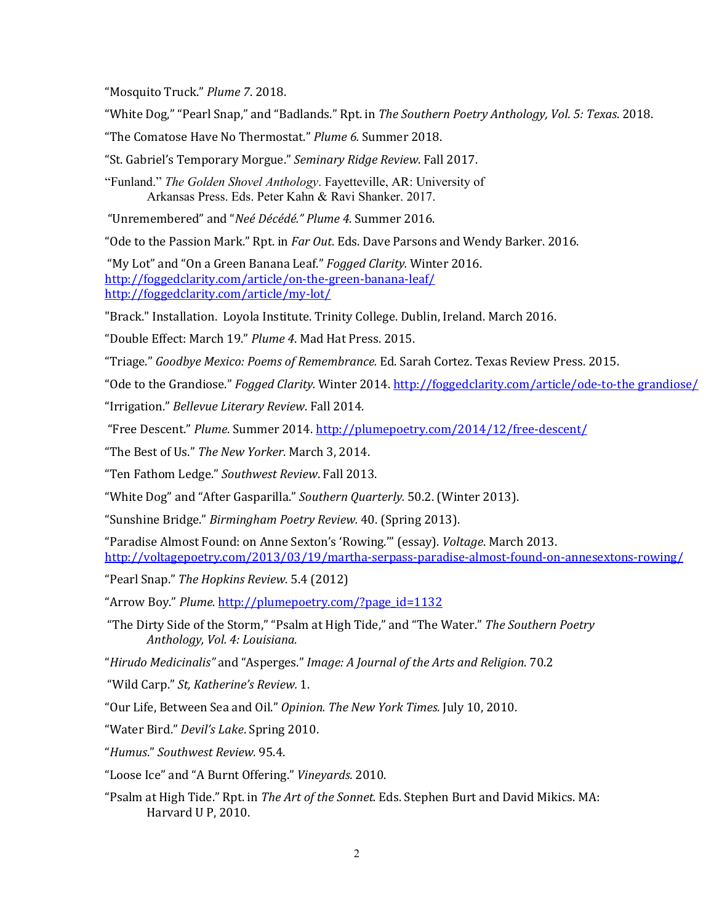"Mosquito Truck." *Plume 7*. 2018.

"White Dog," "Pearl Snap," and "Badlands." Rpt. in *The Southern Poetry Anthology, Vol. 5: Texas*. 2018.

"The Comatose Have No Thermostat." *Plume 6.* Summer 2018.

"St. Gabriel's Temporary Morgue." *Seminary Ridge Review*. Fall 2017.

"Funland." *The Golden Shovel Anthology*. Fayetteville, AR: University of Arkansas Press. Eds. Peter Kahn & Ravi Shanker. 2017.

"Unremembered" and "*Neé Décédé." Plume 4.* Summer 2016.

"Ode to the Passion Mark." Rpt. in *Far Out*. Eds. Dave Parsons and Wendy Barker. 2016.

"My Lot" and "On a Green Banana Leaf." *Fogged Clarity.* Winter 2016. <http://foggedclarity.com/article/on-the-green-banana-leaf/> <http://foggedclarity.com/article/my-lot/>

"Brack." Installation. Loyola Institute. Trinity College. Dublin, Ireland. March 2016.

"Double Effect: March 19." *Plume 4*. Mad Hat Press. 2015.

"Triage." *Goodbye Mexico: Poems of Remembrance.* Ed. Sarah Cortez. Texas Review Press. 2015.

"Ode to the Grandiose." *Fogged Clarity.* Winter 2014. [http://foggedclarity.com/article/ode-to-the grandiose/](http://foggedclarity.com/article/ode-to-the%20grandiose/)

"Irrigation." *Bellevue Literary Review*. Fall 2014.

"Free Descent." *Plume.* Summer 2014. <http://plumepoetry.com/2014/12/free-descent/>

"The Best of Us." *The New Yorker.* March 3, 2014.

"Ten Fathom Ledge." *Southwest Review*. Fall 2013.

"White Dog" and "After Gasparilla." *Southern Quarterly.* 50.2. (Winter 2013).

"Sunshine Bridge." *Birmingham Poetry Review.* 40. (Spring 2013).

"Paradise Almost Found: on Anne Sexton's 'Rowing.'" (essay). *Voltage*. March 2013. <http://voltagepoetry.com/2013/03/19/martha-serpass-paradise-almost-found-on-annesextons-rowing/>

"Pearl Snap." *The Hopkins Review*. 5.4 (2012)

"Arrow Boy." *Plume.* [http://plumepoetry.com/?page\\_id=1132](http://plumepoetry.com/?page_id=1132)

"The Dirty Side of the Storm," "Psalm at High Tide," and "The Water." *The Southern Poetry Anthology, Vol. 4: Louisiana.*

"*Hirudo Medicinalis"* and "Asperges." *Image: A Journal of the Arts and Religion*. 70.2

"Wild Carp." *St, Katherine's Review.* 1.

"Our Life, Between Sea and Oil." *Opinion. The New York Times.* July 10, 2010.

"Water Bird." *Devil's Lake*. Spring 2010.

"*Humus*." *Southwest Review.* 95.4.

"Loose Ice" and "A Burnt Offering." *Vineyards.* 2010.

"Psalm at High Tide." Rpt. in *The Art of the Sonnet.* Eds. Stephen Burt and David Mikics. MA: Harvard U P, 2010.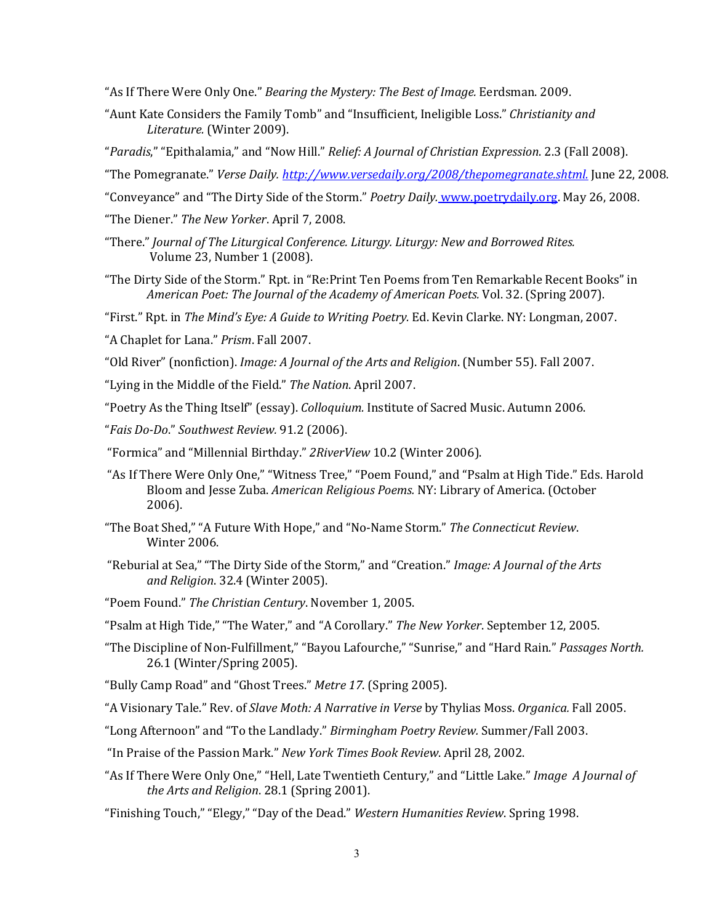"As If There Were Only One." *Bearing the Mystery: The Best of Image.* Eerdsman. 2009.

- "Aunt Kate Considers the Family Tomb" and "Insufficient, Ineligible Loss." *Christianity and Literature.* (Winter 2009).
- "*Paradis*," "Epithalamia," and "Now Hill." *Relief: A Journal of Christian Expression*. 2.3 (Fall 2008).
- "The Pomegranate." *Verse Daily. [http://www.versedaily.org/2008/thepomegranate.shtml.](http://www.versedaily.org/2008/thepomegranate.shtml)* June 22, 2008.
- "Conveyance" and "The Dirty Side of the Storm." *Poetry Daily.* [www.poetrydaily.org.](http://www.poetrydaily.org/) May 26, 2008.
- "The Diener." *The New Yorker*. April 7, 2008.
- "There." *Journal of The Liturgical Conference. Liturgy. Liturgy: New and Borrowed Rites.* Volume 23, Number 1 (2008).
- "The Dirty Side of the Storm." Rpt. in "Re:Print Ten Poems from Ten Remarkable Recent Books" in *American Poet: The Journal of the Academy of American Poets.* Vol. 32. (Spring 2007).

"First." Rpt. in *The Mind's Eye: A Guide to Writing Poetry.* Ed. Kevin Clarke. NY: Longman, 2007.

"A Chaplet for Lana." *Prism*. Fall 2007.

"Old River" (nonfiction). *Image: A Journal of the Arts and Religion*. (Number 55). Fall 2007.

"Lying in the Middle of the Field." *The Nation*. April 2007.

"Poetry As the Thing Itself" (essay). *Colloquium.* Institute of Sacred Music. Autumn 2006.

"*Fais Do-Do*." *Southwest Review.* 91.2 (2006).

"Formica" and "Millennial Birthday." *2RiverView* 10.2 (Winter 2006).

- "As If There Were Only One," "Witness Tree," "Poem Found," and "Psalm at High Tide." Eds. Harold Bloom and Jesse Zuba. *American Religious Poems.* NY: Library of America. (October 2006).
- "The Boat Shed," "A Future With Hope," and "No-Name Storm." *The Connecticut Review*. Winter 2006.
- "Reburial at Sea," "The Dirty Side of the Storm," and "Creation." *Image: A Journal of the Arts and Religion*. 32.4 (Winter 2005).
- "Poem Found." *The Christian Century*. November 1, 2005.
- "Psalm at High Tide," "The Water," and "A Corollary." *The New Yorker*. September 12, 2005.
- "The Discipline of Non-Fulfillment," "Bayou Lafourche," "Sunrise," and "Hard Rain." *Passages North.* 26.1 (Winter/Spring 2005).
- "Bully Camp Road" and "Ghost Trees." *Metre 17*. (Spring 2005).

"A Visionary Tale." Rev. of *Slave Moth: A Narrative in Verse* by Thylias Moss. *Organica.* Fall 2005.

"Long Afternoon" and "To the Landlady." *Birmingham Poetry Review.* Summer/Fall 2003.

- "In Praise of the Passion Mark." *New York Times Book Review*. April 28, 2002.
- "As If There Were Only One," "Hell, Late Twentieth Century," and "Little Lake." *Image A Journal of the Arts and Religion*. 28.1 (Spring 2001).

"Finishing Touch," "Elegy," "Day of the Dead." *Western Humanities Review*. Spring 1998.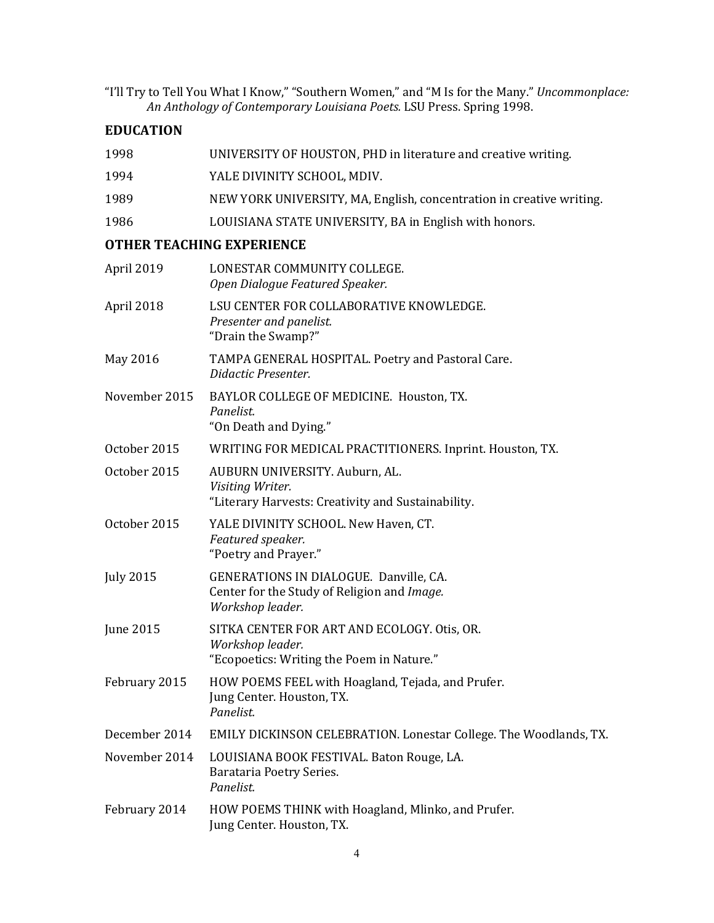"I'll Try to Tell You What I Know," "Southern Women," and "M Is for the Many." *Uncommonplace: An Anthology of Contemporary Louisiana Poets.* LSU Press. Spring 1998.

# **EDUCATION**

| 1998             | UNIVERSITY OF HOUSTON, PHD in literature and creative writing.                                               |
|------------------|--------------------------------------------------------------------------------------------------------------|
| 1994             | YALE DIVINITY SCHOOL, MDIV.                                                                                  |
| 1989             | NEW YORK UNIVERSITY, MA, English, concentration in creative writing.                                         |
| 1986             | LOUISIANA STATE UNIVERSITY, BA in English with honors.                                                       |
|                  | <b>OTHER TEACHING EXPERIENCE</b>                                                                             |
| April 2019       | LONESTAR COMMUNITY COLLEGE.<br>Open Dialogue Featured Speaker.                                               |
| April 2018       | LSU CENTER FOR COLLABORATIVE KNOWLEDGE.<br>Presenter and panelist.<br>"Drain the Swamp?"                     |
| May 2016         | TAMPA GENERAL HOSPITAL. Poetry and Pastoral Care.<br>Didactic Presenter.                                     |
| November 2015    | BAYLOR COLLEGE OF MEDICINE. Houston, TX.<br>Panelist.<br>"On Death and Dying."                               |
| October 2015     | WRITING FOR MEDICAL PRACTITIONERS. Inprint. Houston, TX.                                                     |
| October 2015     | AUBURN UNIVERSITY. Auburn, AL.<br>Visiting Writer.<br>"Literary Harvests: Creativity and Sustainability.     |
| October 2015     | YALE DIVINITY SCHOOL. New Haven, CT.<br>Featured speaker.<br>"Poetry and Prayer."                            |
| <b>July 2015</b> | GENERATIONS IN DIALOGUE. Danville, CA.<br>Center for the Study of Religion and Image.<br>Workshop leader.    |
| June 2015        | SITKA CENTER FOR ART AND ECOLOGY. Otis, OR.<br>Workshop leader.<br>"Ecopoetics: Writing the Poem in Nature." |
| February 2015    | HOW POEMS FEEL with Hoagland, Tejada, and Prufer.<br>Jung Center. Houston, TX.<br>Panelist.                  |
| December 2014    | EMILY DICKINSON CELEBRATION. Lonestar College. The Woodlands, TX.                                            |
| November 2014    | LOUISIANA BOOK FESTIVAL. Baton Rouge, LA.<br>Barataria Poetry Series.<br>Panelist.                           |
| February 2014    | HOW POEMS THINK with Hoagland, Mlinko, and Prufer.<br>Jung Center. Houston, TX.                              |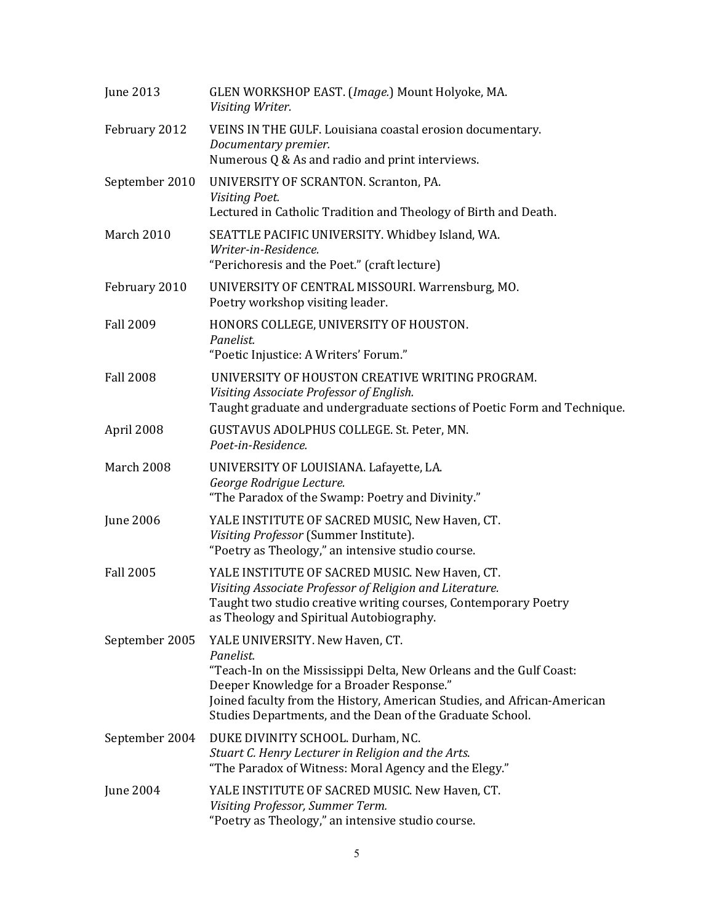| June 2013        | GLEN WORKSHOP EAST. (Image.) Mount Holyoke, MA.<br>Visiting Writer.                                                                                                                                                                                                                                      |
|------------------|----------------------------------------------------------------------------------------------------------------------------------------------------------------------------------------------------------------------------------------------------------------------------------------------------------|
| February 2012    | VEINS IN THE GULF. Louisiana coastal erosion documentary.<br>Documentary premier.<br>Numerous Q & As and radio and print interviews.                                                                                                                                                                     |
| September 2010   | UNIVERSITY OF SCRANTON. Scranton, PA.<br>Visiting Poet.<br>Lectured in Catholic Tradition and Theology of Birth and Death.                                                                                                                                                                               |
| March 2010       | SEATTLE PACIFIC UNIVERSITY. Whidbey Island, WA.<br>Writer-in-Residence.<br>"Perichoresis and the Poet." (craft lecture)                                                                                                                                                                                  |
| February 2010    | UNIVERSITY OF CENTRAL MISSOURI. Warrensburg, MO.<br>Poetry workshop visiting leader.                                                                                                                                                                                                                     |
| <b>Fall 2009</b> | HONORS COLLEGE, UNIVERSITY OF HOUSTON.<br>Panelist.<br>"Poetic Injustice: A Writers' Forum."                                                                                                                                                                                                             |
| <b>Fall 2008</b> | UNIVERSITY OF HOUSTON CREATIVE WRITING PROGRAM.<br>Visiting Associate Professor of English.<br>Taught graduate and undergraduate sections of Poetic Form and Technique.                                                                                                                                  |
| April 2008       | GUSTAVUS ADOLPHUS COLLEGE. St. Peter, MN.<br>Poet-in-Residence.                                                                                                                                                                                                                                          |
| March 2008       | UNIVERSITY OF LOUISIANA. Lafayette, LA.<br>George Rodrigue Lecture.<br>"The Paradox of the Swamp: Poetry and Divinity."                                                                                                                                                                                  |
| <b>June 2006</b> | YALE INSTITUTE OF SACRED MUSIC, New Haven, CT.<br>Visiting Professor (Summer Institute).<br>"Poetry as Theology," an intensive studio course.                                                                                                                                                            |
| <b>Fall 2005</b> | YALE INSTITUTE OF SACRED MUSIC. New Haven, CT.<br>Visiting Associate Professor of Religion and Literature.<br>Taught two studio creative writing courses, Contemporary Poetry<br>as Theology and Spiritual Autobiography.                                                                                |
| September 2005   | YALE UNIVERSITY. New Haven, CT.<br>Panelist.<br>"Teach-In on the Mississippi Delta, New Orleans and the Gulf Coast:<br>Deeper Knowledge for a Broader Response."<br>Joined faculty from the History, American Studies, and African-American<br>Studies Departments, and the Dean of the Graduate School. |
| September 2004   | DUKE DIVINITY SCHOOL. Durham, NC.<br>Stuart C. Henry Lecturer in Religion and the Arts.<br>"The Paradox of Witness: Moral Agency and the Elegy."                                                                                                                                                         |
| <b>June 2004</b> | YALE INSTITUTE OF SACRED MUSIC. New Haven, CT.<br>Visiting Professor, Summer Term.<br>"Poetry as Theology," an intensive studio course.                                                                                                                                                                  |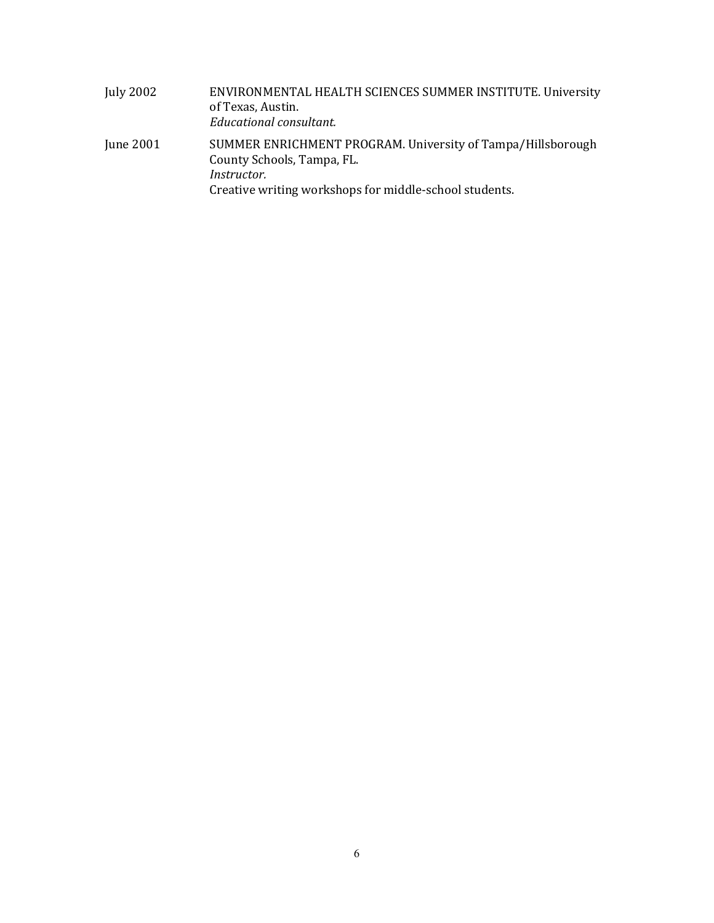| July 2002 | ENVIRONMENTAL HEALTH SCIENCES SUMMER INSTITUTE. University<br>of Texas, Austin.<br>Educational consultant.                                                                |
|-----------|---------------------------------------------------------------------------------------------------------------------------------------------------------------------------|
| June 2001 | SUMMER ENRICHMENT PROGRAM. University of Tampa/Hillsborough<br>County Schools, Tampa, FL.<br><i>Instructor.</i><br>Creative writing workshops for middle-school students. |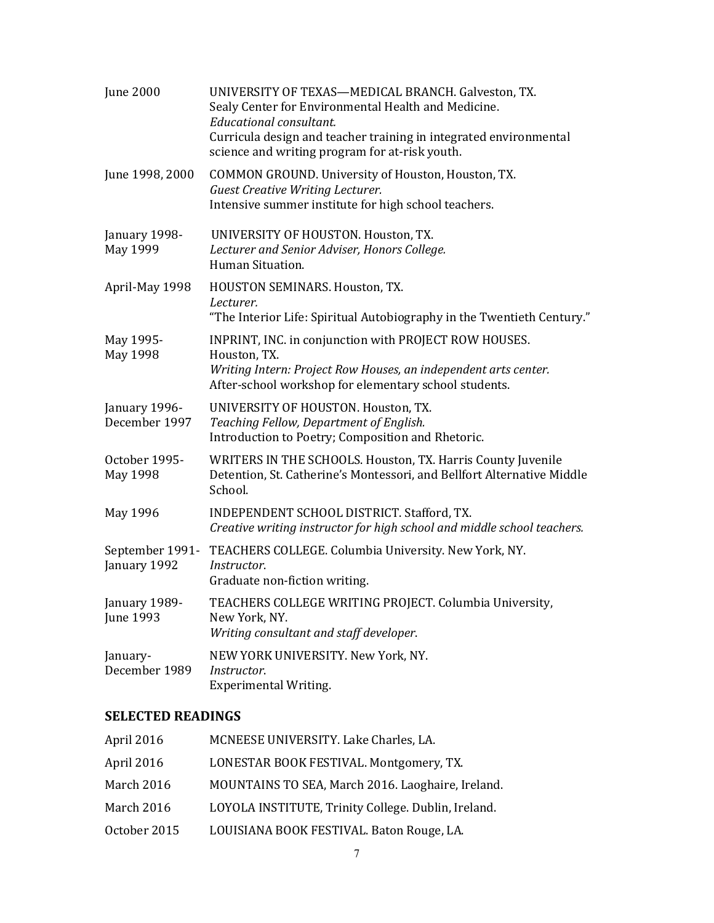| <b>June 2000</b>                | UNIVERSITY OF TEXAS-MEDICAL BRANCH. Galveston, TX.<br>Sealy Center for Environmental Health and Medicine.<br>Educational consultant.<br>Curricula design and teacher training in integrated environmental<br>science and writing program for at-risk youth. |
|---------------------------------|-------------------------------------------------------------------------------------------------------------------------------------------------------------------------------------------------------------------------------------------------------------|
| June 1998, 2000                 | COMMON GROUND. University of Houston, Houston, TX.<br><b>Guest Creative Writing Lecturer.</b><br>Intensive summer institute for high school teachers.                                                                                                       |
| January 1998-<br>May 1999       | UNIVERSITY OF HOUSTON. Houston, TX.<br>Lecturer and Senior Adviser, Honors College.<br>Human Situation.                                                                                                                                                     |
| April-May 1998                  | HOUSTON SEMINARS. Houston, TX.<br>Lecturer.<br>"The Interior Life: Spiritual Autobiography in the Twentieth Century."                                                                                                                                       |
| May 1995-<br>May 1998           | INPRINT, INC. in conjunction with PROJECT ROW HOUSES.<br>Houston, TX.<br>Writing Intern: Project Row Houses, an independent arts center.<br>After-school workshop for elementary school students.                                                           |
| January 1996-<br>December 1997  | UNIVERSITY OF HOUSTON. Houston, TX.<br>Teaching Fellow, Department of English.<br>Introduction to Poetry; Composition and Rhetoric.                                                                                                                         |
| October 1995-<br>May 1998       | WRITERS IN THE SCHOOLS. Houston, TX. Harris County Juvenile<br>Detention, St. Catherine's Montessori, and Bellfort Alternative Middle<br>School.                                                                                                            |
| May 1996                        | INDEPENDENT SCHOOL DISTRICT. Stafford, TX.<br>Creative writing instructor for high school and middle school teachers.                                                                                                                                       |
| September 1991-<br>January 1992 | TEACHERS COLLEGE. Columbia University. New York, NY.<br>Instructor.<br>Graduate non-fiction writing.                                                                                                                                                        |
| January 1989-<br>June 1993      | TEACHERS COLLEGE WRITING PROJECT. Columbia University,<br>New York, NY.<br>Writing consultant and staff developer.                                                                                                                                          |
| January-<br>December 1989       | NEW YORK UNIVERSITY. New York, NY.<br>Instructor.<br><b>Experimental Writing.</b>                                                                                                                                                                           |

# **SELECTED READINGS**

| April 2016   | MCNEESE UNIVERSITY. Lake Charles, LA.               |
|--------------|-----------------------------------------------------|
| April 2016   | LONESTAR BOOK FESTIVAL. Montgomery, TX.             |
| March 2016   | MOUNTAINS TO SEA, March 2016. Laoghaire, Ireland.   |
| March 2016   | LOYOLA INSTITUTE, Trinity College. Dublin, Ireland. |
| October 2015 | LOUISIANA BOOK FESTIVAL. Baton Rouge, LA.           |
|              |                                                     |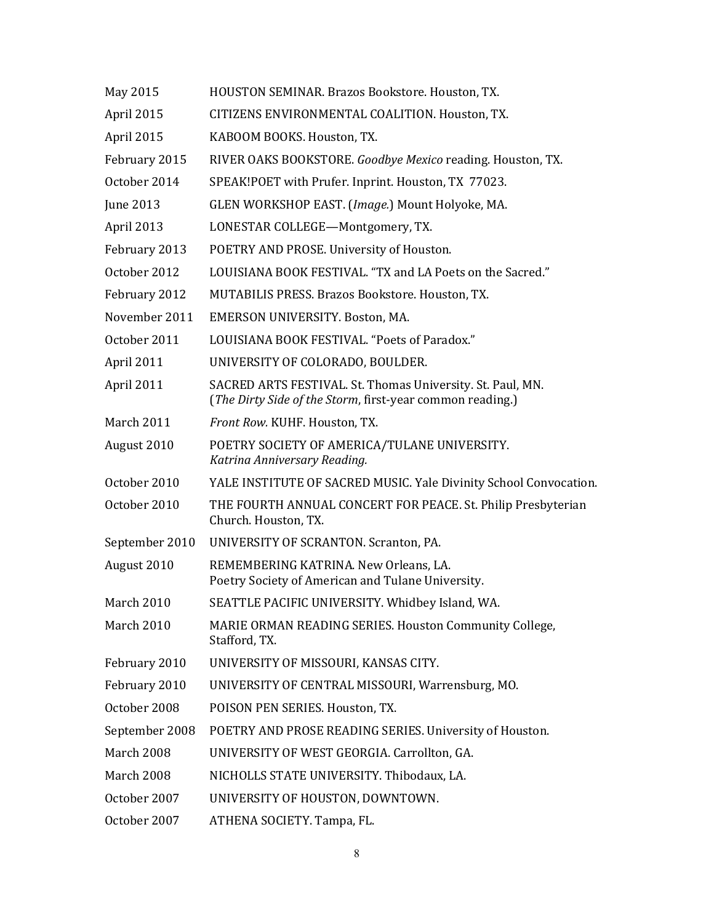| May 2015          | HOUSTON SEMINAR. Brazos Bookstore. Houston, TX.                                                                         |
|-------------------|-------------------------------------------------------------------------------------------------------------------------|
| April 2015        | CITIZENS ENVIRONMENTAL COALITION. Houston, TX.                                                                          |
| April 2015        | KABOOM BOOKS. Houston, TX.                                                                                              |
| February 2015     | RIVER OAKS BOOKSTORE. Goodbye Mexico reading. Houston, TX.                                                              |
| October 2014      | SPEAK!POET with Prufer. Inprint. Houston, TX 77023.                                                                     |
| June 2013         | GLEN WORKSHOP EAST. (Image.) Mount Holyoke, MA.                                                                         |
| April 2013        | LONESTAR COLLEGE-Montgomery, TX.                                                                                        |
| February 2013     | POETRY AND PROSE. University of Houston.                                                                                |
| October 2012      | LOUISIANA BOOK FESTIVAL. "TX and LA Poets on the Sacred."                                                               |
| February 2012     | MUTABILIS PRESS. Brazos Bookstore. Houston, TX.                                                                         |
| November 2011     | EMERSON UNIVERSITY. Boston, MA.                                                                                         |
| October 2011      | LOUISIANA BOOK FESTIVAL. "Poets of Paradox."                                                                            |
| April 2011        | UNIVERSITY OF COLORADO, BOULDER.                                                                                        |
| April 2011        | SACRED ARTS FESTIVAL. St. Thomas University. St. Paul, MN.<br>(The Dirty Side of the Storm, first-year common reading.) |
| <b>March 2011</b> | Front Row. KUHF. Houston, TX.                                                                                           |
| August 2010       | POETRY SOCIETY OF AMERICA/TULANE UNIVERSITY.<br>Katrina Anniversary Reading.                                            |
| October 2010      | YALE INSTITUTE OF SACRED MUSIC. Yale Divinity School Convocation.                                                       |
| October 2010      | THE FOURTH ANNUAL CONCERT FOR PEACE. St. Philip Presbyterian<br>Church. Houston, TX.                                    |
| September 2010    | UNIVERSITY OF SCRANTON. Scranton, PA.                                                                                   |
| August 2010       | REMEMBERING KATRINA. New Orleans, LA.<br>Poetry Society of American and Tulane University.                              |
| March 2010        | SEATTLE PACIFIC UNIVERSITY. Whidbey Island, WA.                                                                         |
| March 2010        | MARIE ORMAN READING SERIES. Houston Community College,<br>Stafford, TX.                                                 |
| February 2010     | UNIVERSITY OF MISSOURI, KANSAS CITY.                                                                                    |
| February 2010     | UNIVERSITY OF CENTRAL MISSOURI, Warrensburg, MO.                                                                        |
| October 2008      | POISON PEN SERIES. Houston, TX.                                                                                         |
| September 2008    | POETRY AND PROSE READING SERIES. University of Houston.                                                                 |
| March 2008        | UNIVERSITY OF WEST GEORGIA. Carrollton, GA.                                                                             |
| March 2008        | NICHOLLS STATE UNIVERSITY. Thibodaux, LA.                                                                               |
| October 2007      | UNIVERSITY OF HOUSTON, DOWNTOWN.                                                                                        |
| October 2007      | ATHENA SOCIETY. Tampa, FL.                                                                                              |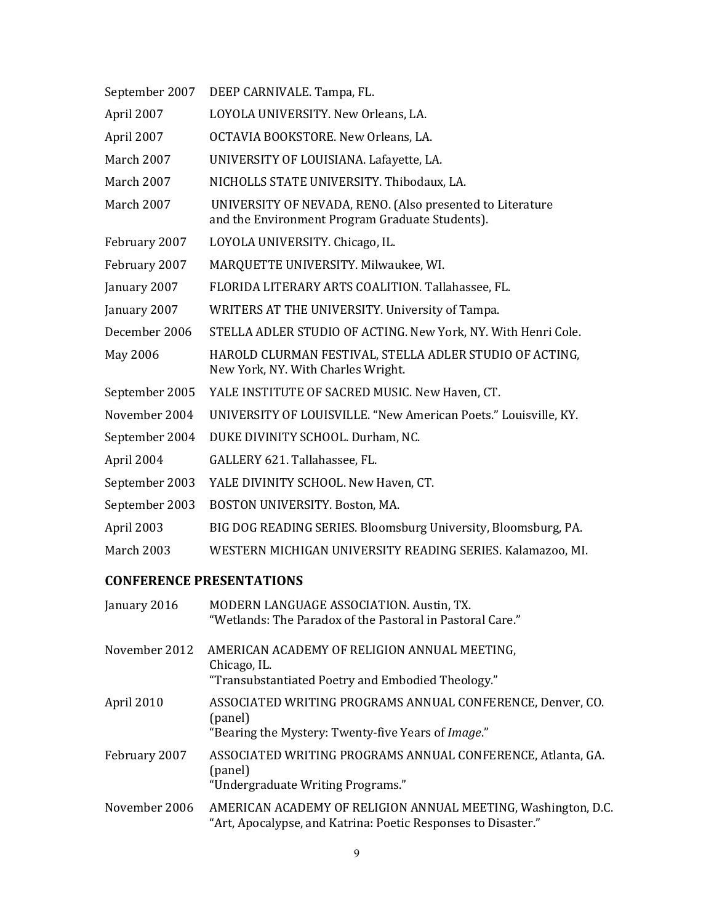| LOYOLA UNIVERSITY. New Orleans, LA.<br>OCTAVIA BOOKSTORE. New Orleans, LA.                                   |
|--------------------------------------------------------------------------------------------------------------|
|                                                                                                              |
|                                                                                                              |
| UNIVERSITY OF LOUISIANA. Lafayette, LA.                                                                      |
| NICHOLLS STATE UNIVERSITY. Thibodaux, LA.                                                                    |
| UNIVERSITY OF NEVADA, RENO. (Also presented to Literature<br>and the Environment Program Graduate Students). |
| LOYOLA UNIVERSITY. Chicago, IL.                                                                              |
| MARQUETTE UNIVERSITY. Milwaukee, WI.                                                                         |
| FLORIDA LITERARY ARTS COALITION. Tallahassee, FL.                                                            |
| WRITERS AT THE UNIVERSITY. University of Tampa.                                                              |
| STELLA ADLER STUDIO OF ACTING. New York, NY. With Henri Cole.                                                |
| HAROLD CLURMAN FESTIVAL, STELLA ADLER STUDIO OF ACTING,<br>New York, NY. With Charles Wright.                |
| YALE INSTITUTE OF SACRED MUSIC. New Haven, CT.                                                               |
| UNIVERSITY OF LOUISVILLE. "New American Poets." Louisville, KY.                                              |
| DUKE DIVINITY SCHOOL. Durham, NC.                                                                            |
| GALLERY 621. Tallahassee, FL.                                                                                |
| YALE DIVINITY SCHOOL. New Haven, CT.                                                                         |
| BOSTON UNIVERSITY. Boston, MA.                                                                               |
| BIG DOG READING SERIES. Bloomsburg University, Bloomsburg, PA.                                               |
| WESTERN MICHIGAN UNIVERSITY READING SERIES. Kalamazoo, MI.                                                   |
|                                                                                                              |

# **CONFERENCE PRESENTATIONS**

| January 2016  | MODERN LANGUAGE ASSOCIATION. Austin, TX.<br>"Wetlands: The Paradox of the Pastoral in Pastoral Care."                          |
|---------------|--------------------------------------------------------------------------------------------------------------------------------|
| November 2012 | AMERICAN ACADEMY OF RELIGION ANNUAL MEETING,<br>Chicago, IL.<br>"Transubstantiated Poetry and Embodied Theology."              |
| April 2010    | ASSOCIATED WRITING PROGRAMS ANNUAL CONFERENCE, Denver, CO.<br>(panel)<br>"Bearing the Mystery: Twenty-five Years of Image."    |
| February 2007 | ASSOCIATED WRITING PROGRAMS ANNUAL CONFERENCE, Atlanta, GA.<br>(panel)<br>"Undergraduate Writing Programs."                    |
| November 2006 | AMERICAN ACADEMY OF RELIGION ANNUAL MEETING, Washington, D.C.<br>"Art, Apocalypse, and Katrina: Poetic Responses to Disaster." |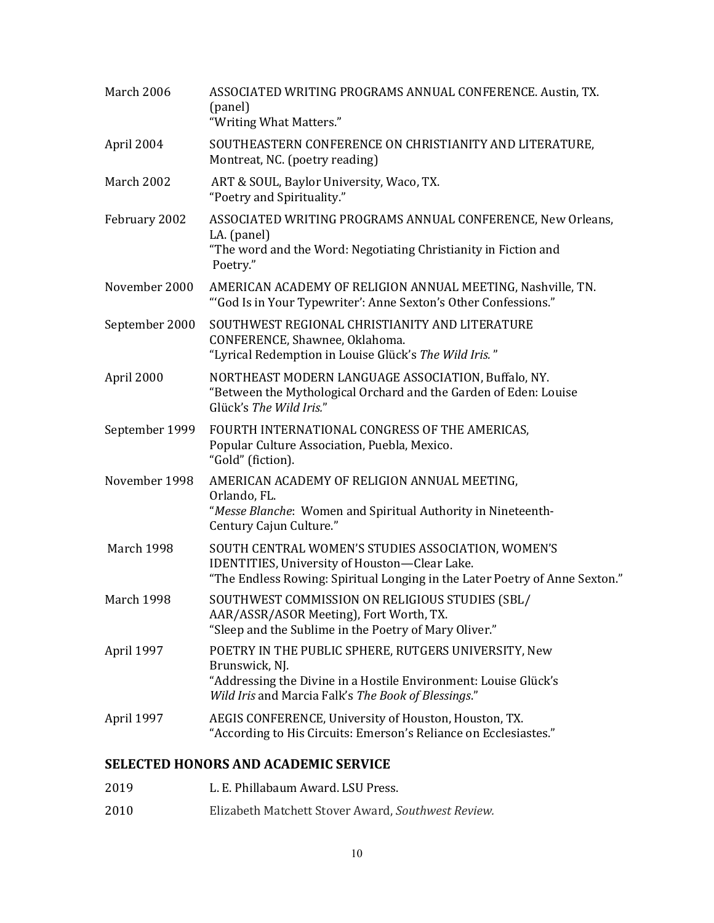| March 2006        | ASSOCIATED WRITING PROGRAMS ANNUAL CONFERENCE. Austin, TX.<br>(panel)<br>"Writing What Matters."                                                                                                 |
|-------------------|--------------------------------------------------------------------------------------------------------------------------------------------------------------------------------------------------|
| April 2004        | SOUTHEASTERN CONFERENCE ON CHRISTIANITY AND LITERATURE,<br>Montreat, NC. (poetry reading)                                                                                                        |
| March 2002        | ART & SOUL, Baylor University, Waco, TX.<br>"Poetry and Spirituality."                                                                                                                           |
| February 2002     | ASSOCIATED WRITING PROGRAMS ANNUAL CONFERENCE, New Orleans,<br>LA. (panel)<br>"The word and the Word: Negotiating Christianity in Fiction and<br>Poetry."                                        |
| November 2000     | AMERICAN ACADEMY OF RELIGION ANNUAL MEETING, Nashville, TN.<br>"God Is in Your Typewriter': Anne Sexton's Other Confessions."                                                                    |
| September 2000    | SOUTHWEST REGIONAL CHRISTIANITY AND LITERATURE<br>CONFERENCE, Shawnee, Oklahoma.<br>"Lyrical Redemption in Louise Glück's The Wild Iris."                                                        |
| April 2000        | NORTHEAST MODERN LANGUAGE ASSOCIATION, Buffalo, NY.<br>"Between the Mythological Orchard and the Garden of Eden: Louise<br>Glück's The Wild Iris."                                               |
| September 1999    | FOURTH INTERNATIONAL CONGRESS OF THE AMERICAS,<br>Popular Culture Association, Puebla, Mexico.<br>"Gold" (fiction).                                                                              |
| November 1998     | AMERICAN ACADEMY OF RELIGION ANNUAL MEETING,<br>Orlando, FL.<br>"Messe Blanche: Women and Spiritual Authority in Nineteenth-<br>Century Cajun Culture."                                          |
| <b>March 1998</b> | SOUTH CENTRAL WOMEN'S STUDIES ASSOCIATION, WOMEN'S<br><b>IDENTITIES, University of Houston-Clear Lake.</b><br>"The Endless Rowing: Spiritual Longing in the Later Poetry of Anne Sexton."        |
| March 1998        | SOUTHWEST COMMISSION ON RELIGIOUS STUDIES (SBL/<br>AAR/ASSR/ASOR Meeting), Fort Worth, TX.<br>"Sleep and the Sublime in the Poetry of Mary Oliver."                                              |
| April 1997        | POETRY IN THE PUBLIC SPHERE, RUTGERS UNIVERSITY, New<br>Brunswick, NJ.<br>"Addressing the Divine in a Hostile Environment: Louise Glück's<br>Wild Iris and Marcia Falk's The Book of Blessings." |
| April 1997        | AEGIS CONFERENCE, University of Houston, Houston, TX.<br>"According to His Circuits: Emerson's Reliance on Ecclesiastes."                                                                        |

## **SELECTED HONORS AND ACADEMIC SERVICE**

- 2019 L. E. Phillabaum Award. LSU Press.
- 2010 Elizabeth Matchett Stover Award, *Southwest Review.*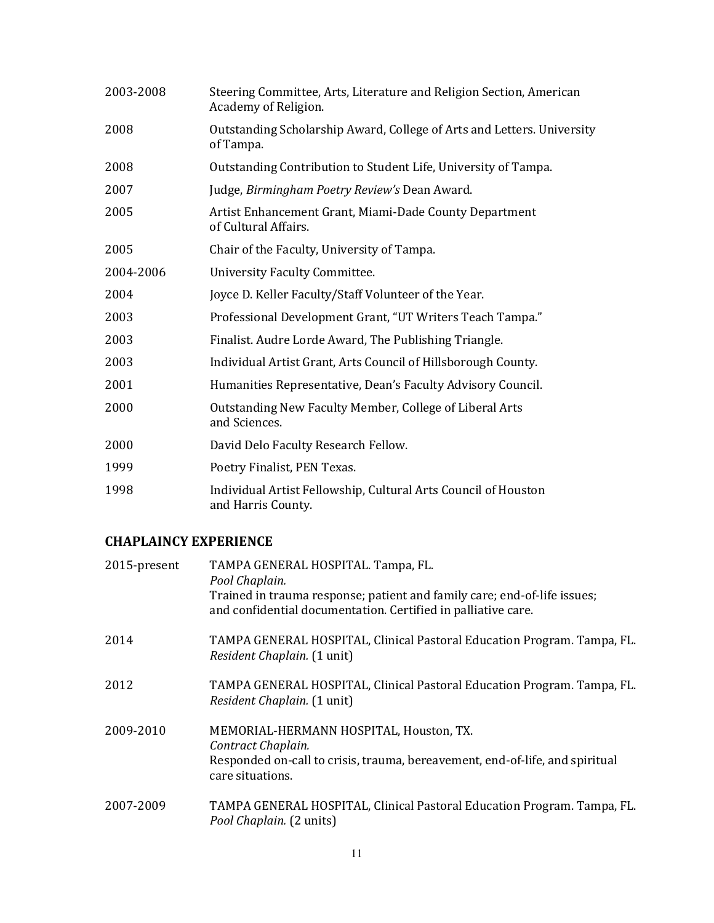| 2003-2008 | Steering Committee, Arts, Literature and Religion Section, American<br>Academy of Religion. |
|-----------|---------------------------------------------------------------------------------------------|
| 2008      | Outstanding Scholarship Award, College of Arts and Letters. University<br>of Tampa.         |
| 2008      | Outstanding Contribution to Student Life, University of Tampa.                              |
| 2007      | Judge, Birmingham Poetry Review's Dean Award.                                               |
| 2005      | Artist Enhancement Grant, Miami-Dade County Department<br>of Cultural Affairs.              |
| 2005      | Chair of the Faculty, University of Tampa.                                                  |
| 2004-2006 | University Faculty Committee.                                                               |
| 2004      | Joyce D. Keller Faculty/Staff Volunteer of the Year.                                        |
| 2003      | Professional Development Grant, "UT Writers Teach Tampa."                                   |
| 2003      | Finalist. Audre Lorde Award, The Publishing Triangle.                                       |
| 2003      | Individual Artist Grant, Arts Council of Hillsborough County.                               |
| 2001      | Humanities Representative, Dean's Faculty Advisory Council.                                 |
| 2000      | Outstanding New Faculty Member, College of Liberal Arts<br>and Sciences.                    |
| 2000      | David Delo Faculty Research Fellow.                                                         |
| 1999      | Poetry Finalist, PEN Texas.                                                                 |
| 1998      | Individual Artist Fellowship, Cultural Arts Council of Houston<br>and Harris County.        |

# **CHAPLAINCY EXPERIENCE**

| 2015-present | TAMPA GENERAL HOSPITAL. Tampa, FL.<br>Pool Chaplain.<br>Trained in trauma response; patient and family care; end-of-life issues;<br>and confidential documentation. Certified in palliative care. |
|--------------|---------------------------------------------------------------------------------------------------------------------------------------------------------------------------------------------------|
| 2014         | TAMPA GENERAL HOSPITAL, Clinical Pastoral Education Program. Tampa, FL.<br>Resident Chaplain. (1 unit)                                                                                            |
| 2012         | TAMPA GENERAL HOSPITAL, Clinical Pastoral Education Program. Tampa, FL.<br>Resident Chaplain. (1 unit)                                                                                            |
| 2009-2010    | MEMORIAL-HERMANN HOSPITAL, Houston, TX.<br>Contract Chaplain.<br>Responded on-call to crisis, trauma, bereavement, end-of-life, and spiritual<br>care situations.                                 |
| 2007-2009    | TAMPA GENERAL HOSPITAL, Clinical Pastoral Education Program. Tampa, FL.<br>Pool Chaplain. (2 units)                                                                                               |